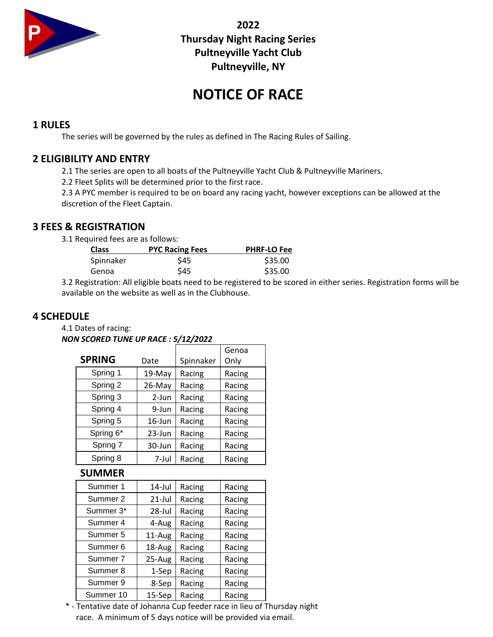

**2022 Thursday Night Racing Series Pultneyville Yacht Club Pultneyville, NY**

# **NOTICE OF RACE**

# **1 RULES**

The series will be governed by the rules as defined in The Racing Rules of Sailing.

# **2 ELIGIBILITY AND ENTRY**

2.1 The series are open to all boats of the Pultneyville Yacht Club & Pultneyville Mariners.

2.2 Fleet Splits will be determined prior to the first race.

2.3 A PYC member is required to be on board any racing yacht, however exceptions can be allowed at the discretion of the Fleet Captain.

# **3 FEES & REGISTRATION**

3.1 Required fees are as follows:

| <b>Class</b> | <b>PYC Racing Fees</b> | <b>PHRF-LO Fee</b> |  |
|--------------|------------------------|--------------------|--|
| Spinnaker    | S45                    | \$35.00            |  |
| Genoa        | <b>S45</b>             | \$35.00            |  |

3.2 Registration: All eligible boats need to be registered to be scored in either series. Registration forms will be available on the website as well as in the Clubhouse.

## **4 SCHEDULE**

4.1 Dates of racing:

#### *NON SCORED TUNE UP RACE : 5/12/2022*

| <b>SPRING</b> | Date      | Spinnaker | Genoa<br>Only |
|---------------|-----------|-----------|---------------|
|               |           |           |               |
| Spring 1      | 19-May    | Racing    | Racing        |
| Spring 2      | $26$ -May | Racing    | Racing        |
| Spring 3      | 2-Jun     | Racing    | Racing        |
| Spring 4      | 9-Jun     | Racing    | Racing        |
| Spring 5      | 16-Jun    | Racing    | Racing        |
| Spring 6*     | 23-Jun    | Racing    | Racing        |
| Spring 7      | 30-Jun    | Racing    | Racing        |
| Spring 8      | 7-Jul     | Racing    | Racing        |

### **SUMMER**

| Summer 1            | 14-Jul    | Racing | Racing |
|---------------------|-----------|--------|--------|
| Summer 2            | $21$ -Jul | Racing | Racing |
| Summer 3*           | 28-Jul    | Racing | Racing |
| Summer 4            | 4-Aug     | Racing | Racing |
| Summer 5            | 11-Aug    | Racing | Racing |
| Summer <sub>6</sub> | 18-Aug    | Racing | Racing |
| Summer 7            | 25-Aug    | Racing | Racing |
| Summer 8            | 1-Sep     | Racing | Racing |
| Summer 9            | 8-Sep     | Racing | Racing |
| Summer 10           | 15-Sep    | Racing | Racing |

\* - Tentative date of Johanna Cup feeder race in lieu of Thursday night race. A minimum of 5 days notice will be provided via email.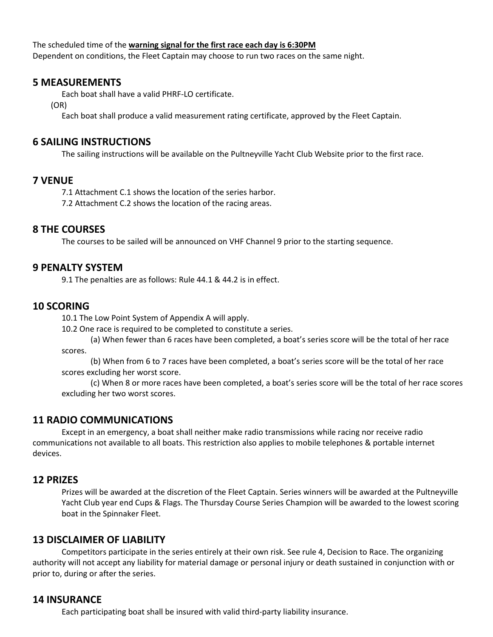The scheduled time of the **warning signal for the first race each day is 6:30PM** Dependent on conditions, the Fleet Captain may choose to run two races on the same night.

#### **5 MEASUREMENTS**

Each boat shall have a valid PHRF-LO certificate.

(OR)

Each boat shall produce a valid measurement rating certificate, approved by the Fleet Captain.

#### **6 SAILING INSTRUCTIONS**

The sailing instructions will be available on the Pultneyville Yacht Club Website prior to the first race.

### **7 VENUE**

7.1 Attachment C.1 shows the location of the series harbor.

7.2 Attachment C.2 shows the location of the racing areas.

#### **8 THE COURSES**

The courses to be sailed will be announced on VHF Channel 9 prior to the starting sequence.

### **9 PENALTY SYSTEM**

9.1 The penalties are as follows: Rule 44.1 & 44.2 is in effect.

### **10 SCORING**

10.1 The Low Point System of Appendix A will apply.

10.2 One race is required to be completed to constitute a series.

(a) When fewer than 6 races have been completed, a boat's series score will be the total of her race scores.

(b) When from 6 to 7 races have been completed, a boat's series score will be the total of her race scores excluding her worst score.

(c) When 8 or more races have been completed, a boat's series score will be the total of her race scores excluding her two worst scores.

### **11 RADIO COMMUNICATIONS**

Except in an emergency, a boat shall neither make radio transmissions while racing nor receive radio communications not available to all boats. This restriction also applies to mobile telephones & portable internet devices.

### **12 PRIZES**

Prizes will be awarded at the discretion of the Fleet Captain. Series winners will be awarded at the Pultneyville Yacht Club year end Cups & Flags. The Thursday Course Series Champion will be awarded to the lowest scoring boat in the Spinnaker Fleet.

### **13 DISCLAIMER OF LIABILITY**

Competitors participate in the series entirely at their own risk. See rule 4, Decision to Race. The organizing authority will not accept any liability for material damage or personal injury or death sustained in conjunction with or prior to, during or after the series.

### **14 INSURANCE**

Each participating boat shall be insured with valid third-party liability insurance.